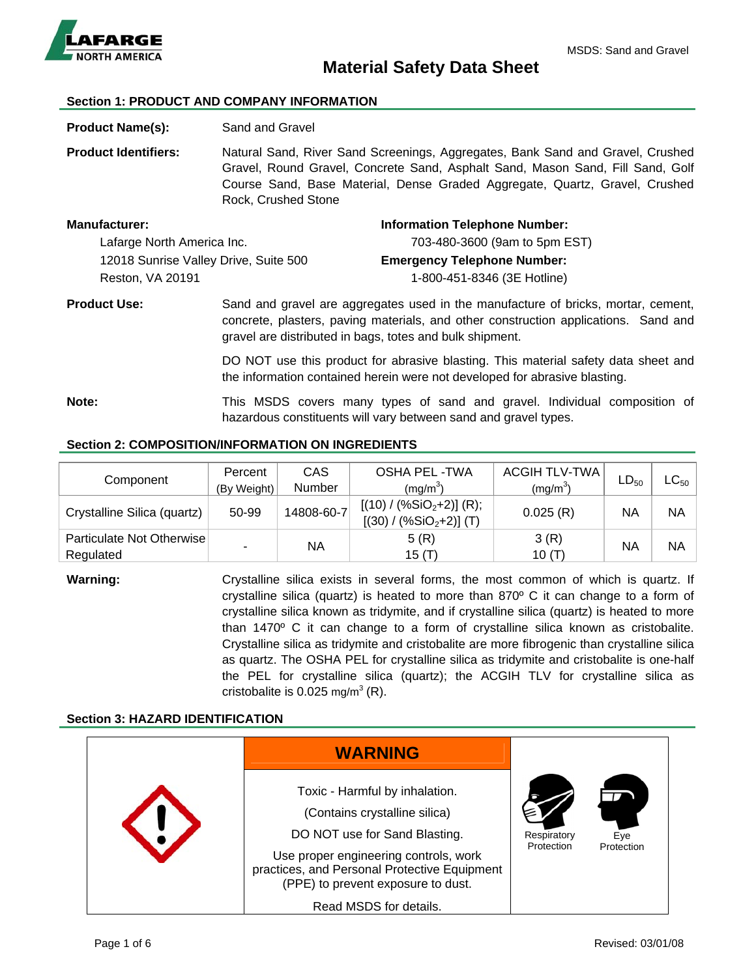

# **Material Safety Data Sheet**

#### **Section 1: PRODUCT AND COMPANY INFORMATION**

**Product Name(s):** Sand and Gravel

**Product Identifiers:** Natural Sand, River Sand Screenings, Aggregates, Bank Sand and Gravel, Crushed Gravel, Round Gravel, Concrete Sand, Asphalt Sand, Mason Sand, Fill Sand, Golf Course Sand, Base Material, Dense Graded Aggregate, Quartz, Gravel, Crushed Rock, Crushed Stone

| <b>Manufacturer:</b>                  | <b>Information Telephone Number:</b> |  |
|---------------------------------------|--------------------------------------|--|
| Lafarge North America Inc.            | 703-480-3600 (9am to 5pm EST)        |  |
| 12018 Sunrise Valley Drive, Suite 500 | <b>Emergency Telephone Number:</b>   |  |
| Reston, VA 20191                      | 1-800-451-8346 (3E Hotline)          |  |
|                                       |                                      |  |

**Product Use:** Sand and gravel are aggregates used in the manufacture of bricks, mortar, cement, concrete, plasters, paving materials, and other construction applications. Sand and gravel are distributed in bags, totes and bulk shipment.

> DO NOT use this product for abrasive blasting. This material safety data sheet and the information contained herein were not developed for abrasive blasting.

**Note:** This MSDS covers many types of sand and gravel. Individual composition of hazardous constituents will vary between sand and gravel types.

### **Section 2: COMPOSITION/INFORMATION ON INGREDIENTS**

| Component                              | Percent     | <b>CAS</b> | <b>OSHA PEL-TWA</b>                                    | <b>ACGIH TLV-TWA</b> | $LD_{50}$ | $\mathsf{LC}_{50}$ |
|----------------------------------------|-------------|------------|--------------------------------------------------------|----------------------|-----------|--------------------|
|                                        | (By Weight) | Number     | $(mg/m^3)$                                             | $(mg/m^3)$           |           |                    |
| Crystalline Silica (quartz)            | 50-99       | 14808-60-7 | $[(10) / (\%SiO2+2)]$ (R);<br>$[(30) / (%SiO2+2)]$ (T) | 0.025(R)             | ΝA        | <b>NA</b>          |
| Particulate Not Otherwise<br>Regulated |             | NA         | 5(R)<br>15 (T)                                         | 3(R)<br>10 $(T)$     | NA        | NA                 |

**Warning: Crystalline silica exists in several forms, the most common of which is quartz. If** crystalline silica (quartz) is heated to more than 870º C it can change to a form of crystalline silica known as tridymite, and if crystalline silica (quartz) is heated to more than 1470º C it can change to a form of crystalline silica known as cristobalite. Crystalline silica as tridymite and cristobalite are more fibrogenic than crystalline silica as quartz. The OSHA PEL for crystalline silica as tridymite and cristobalite is one-half the PEL for crystalline silica (quartz); the ACGIH TLV for crystalline silica as cristobalite is  $0.025$  mg/m<sup>3</sup> (R).

#### **Section 3: HAZARD IDENTIFICATION**

| <b>WARNING</b>                                                                                                                                                                                                                                            |                           |                   |  |
|-----------------------------------------------------------------------------------------------------------------------------------------------------------------------------------------------------------------------------------------------------------|---------------------------|-------------------|--|
| Toxic - Harmful by inhalation.<br>(Contains crystalline silica)<br>DO NOT use for Sand Blasting.<br>Use proper engineering controls, work<br>practices, and Personal Protective Equipment<br>(PPE) to prevent exposure to dust.<br>Read MSDS for details. | Respiratory<br>Protection | Eye<br>Protection |  |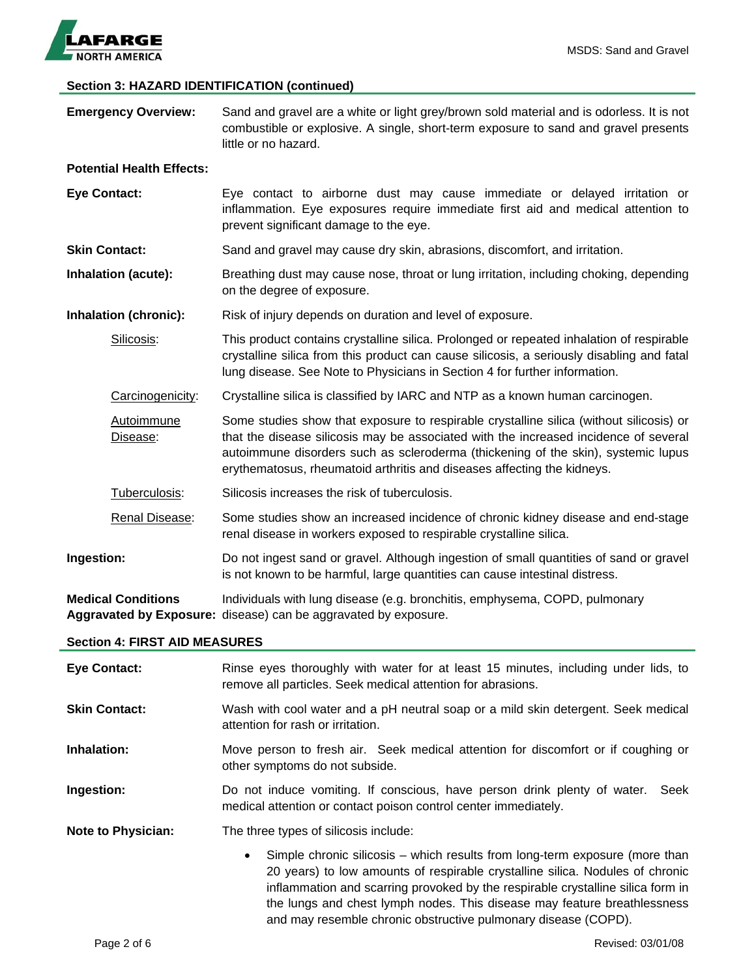

# **Section 3: HAZARD IDENTIFICATION (continued)**

| <b>Emergency Overview:</b>           | Sand and gravel are a white or light grey/brown sold material and is odorless. It is not<br>combustible or explosive. A single, short-term exposure to sand and gravel presents<br>little or no hazard.                                                                                                                                         |  |  |
|--------------------------------------|-------------------------------------------------------------------------------------------------------------------------------------------------------------------------------------------------------------------------------------------------------------------------------------------------------------------------------------------------|--|--|
| <b>Potential Health Effects:</b>     |                                                                                                                                                                                                                                                                                                                                                 |  |  |
| <b>Eye Contact:</b>                  | Eye contact to airborne dust may cause immediate or delayed irritation or<br>inflammation. Eye exposures require immediate first aid and medical attention to<br>prevent significant damage to the eye.                                                                                                                                         |  |  |
| <b>Skin Contact:</b>                 | Sand and gravel may cause dry skin, abrasions, discomfort, and irritation.                                                                                                                                                                                                                                                                      |  |  |
| Inhalation (acute):                  | Breathing dust may cause nose, throat or lung irritation, including choking, depending<br>on the degree of exposure.                                                                                                                                                                                                                            |  |  |
| Inhalation (chronic):                | Risk of injury depends on duration and level of exposure.                                                                                                                                                                                                                                                                                       |  |  |
| Silicosis:                           | This product contains crystalline silica. Prolonged or repeated inhalation of respirable<br>crystalline silica from this product can cause silicosis, a seriously disabling and fatal<br>lung disease. See Note to Physicians in Section 4 for further information.                                                                             |  |  |
| Carcinogenicity:                     | Crystalline silica is classified by IARC and NTP as a known human carcinogen.                                                                                                                                                                                                                                                                   |  |  |
| Autoimmune<br>Disease:               | Some studies show that exposure to respirable crystalline silica (without silicosis) or<br>that the disease silicosis may be associated with the increased incidence of several<br>autoimmune disorders such as scleroderma (thickening of the skin), systemic lupus<br>erythematosus, rheumatoid arthritis and diseases affecting the kidneys. |  |  |
| Tuberculosis:                        | Silicosis increases the risk of tuberculosis.                                                                                                                                                                                                                                                                                                   |  |  |
| Renal Disease:                       | Some studies show an increased incidence of chronic kidney disease and end-stage<br>renal disease in workers exposed to respirable crystalline silica.                                                                                                                                                                                          |  |  |
| Ingestion:                           | Do not ingest sand or gravel. Although ingestion of small quantities of sand or gravel<br>is not known to be harmful, large quantities can cause intestinal distress.                                                                                                                                                                           |  |  |
| <b>Medical Conditions</b>            | Individuals with lung disease (e.g. bronchitis, emphysema, COPD, pulmonary<br>Aggravated by Exposure: disease) can be aggravated by exposure.                                                                                                                                                                                                   |  |  |
| <b>Section 4: FIRST AID MEASURES</b> |                                                                                                                                                                                                                                                                                                                                                 |  |  |
| <b>Eye Contact:</b>                  | Rinse eyes thoroughly with water for at least 15 minutes, including under lids, to<br>remove all particles. Seek medical attention for abrasions.                                                                                                                                                                                               |  |  |
| <b>Skin Contact:</b>                 | Wash with cool water and a pH neutral soap or a mild skin detergent. Seek medical<br>attention for rash or irritation.                                                                                                                                                                                                                          |  |  |
| Inhalation:                          | Move person to fresh air. Seek medical attention for discomfort or if coughing or<br>other symptoms do not subside.                                                                                                                                                                                                                             |  |  |
| Ingestion:                           | Do not induce vomiting. If conscious, have person drink plenty of water.<br>Seek<br>medical attention or contact poison control center immediately.                                                                                                                                                                                             |  |  |
| <b>Note to Physician:</b>            | The three types of silicosis include:                                                                                                                                                                                                                                                                                                           |  |  |
|                                      | Simple chronic silicosis – which results from long-term exposure (more than<br>20 years) to low amounts of respirable crystalline silica. Nodules of chronic<br>inflammation and scarring provoked by the respirable crystalline silica form in<br>the lungs and chest lymph nodes. This disease may feature breathlessness                     |  |  |

and may resemble chronic obstructive pulmonary disease (COPD).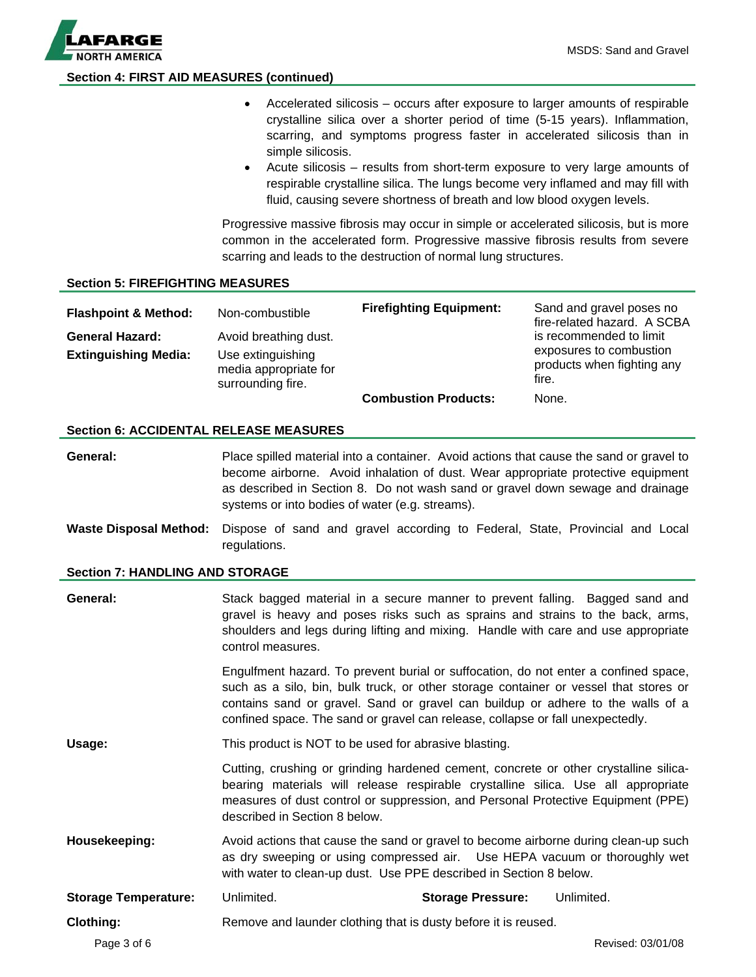

#### **Section 4: FIRST AID MEASURES (continued)**

- Accelerated silicosis occurs after exposure to larger amounts of respirable crystalline silica over a shorter period of time (5-15 years). Inflammation, scarring, and symptoms progress faster in accelerated silicosis than in simple silicosis.
- Acute silicosis results from short-term exposure to very large amounts of respirable crystalline silica. The lungs become very inflamed and may fill with fluid, causing severe shortness of breath and low blood oxygen levels.

Progressive massive fibrosis may occur in simple or accelerated silicosis, but is more common in the accelerated form. Progressive massive fibrosis results from severe scarring and leads to the destruction of normal lung structures.

#### **Section 5: FIREFIGHTING MEASURES**

| <b>Flashpoint &amp; Method:</b>                       | Non-combustible                                                                          | <b>Firefighting Equipment:</b> | Sand and gravel poses no<br>fire-related hazard. A SCBA                                   |
|-------------------------------------------------------|------------------------------------------------------------------------------------------|--------------------------------|-------------------------------------------------------------------------------------------|
| <b>General Hazard:</b><br><b>Extinguishing Media:</b> | Avoid breathing dust.<br>Use extinguishing<br>media appropriate for<br>surrounding fire. |                                | is recommended to limit<br>exposures to combustion<br>products when fighting any<br>fire. |
|                                                       |                                                                                          | <b>Combustion Products:</b>    | None.                                                                                     |

#### **Section 6: ACCIDENTAL RELEASE MEASURES**

**General:** Place spilled material into a container. Avoid actions that cause the sand or gravel to become airborne. Avoid inhalation of dust. Wear appropriate protective equipment as described in Section 8. Do not wash sand or gravel down sewage and drainage systems or into bodies of water (e.g. streams).

**Waste Disposal Method:** Dispose of sand and gravel according to Federal, State, Provincial and Local regulations.

#### **Section 7: HANDLING AND STORAGE**

| General:                    | Stack bagged material in a secure manner to prevent falling. Bagged sand and<br>gravel is heavy and poses risks such as sprains and strains to the back, arms,<br>shoulders and legs during lifting and mixing. Handle with care and use appropriate<br>control measures. |                                                                                                                                                                                                                                                                                                                                                  |                   |
|-----------------------------|---------------------------------------------------------------------------------------------------------------------------------------------------------------------------------------------------------------------------------------------------------------------------|--------------------------------------------------------------------------------------------------------------------------------------------------------------------------------------------------------------------------------------------------------------------------------------------------------------------------------------------------|-------------------|
|                             |                                                                                                                                                                                                                                                                           | Engulfment hazard. To prevent burial or suffocation, do not enter a confined space,<br>such as a silo, bin, bulk truck, or other storage container or vessel that stores or<br>contains sand or gravel. Sand or gravel can buildup or adhere to the walls of a<br>confined space. The sand or gravel can release, collapse or fall unexpectedly. |                   |
| Usage:                      | This product is NOT to be used for abrasive blasting.                                                                                                                                                                                                                     |                                                                                                                                                                                                                                                                                                                                                  |                   |
|                             | described in Section 8 below.                                                                                                                                                                                                                                             | Cutting, crushing or grinding hardened cement, concrete or other crystalline silica-<br>bearing materials will release respirable crystalline silica. Use all appropriate<br>measures of dust control or suppression, and Personal Protective Equipment (PPE)                                                                                    |                   |
| Housekeeping:               |                                                                                                                                                                                                                                                                           | Avoid actions that cause the sand or gravel to become airborne during clean-up such<br>as dry sweeping or using compressed air. Use HEPA vacuum or thoroughly wet<br>with water to clean-up dust. Use PPE described in Section 8 below.                                                                                                          |                   |
| <b>Storage Temperature:</b> | Unlimited.                                                                                                                                                                                                                                                                | <b>Storage Pressure:</b>                                                                                                                                                                                                                                                                                                                         | Unlimited.        |
| <b>Clothing:</b>            |                                                                                                                                                                                                                                                                           | Remove and launder clothing that is dusty before it is reused.                                                                                                                                                                                                                                                                                   |                   |
| Page 3 of 6                 |                                                                                                                                                                                                                                                                           |                                                                                                                                                                                                                                                                                                                                                  | Revised: 03/01/08 |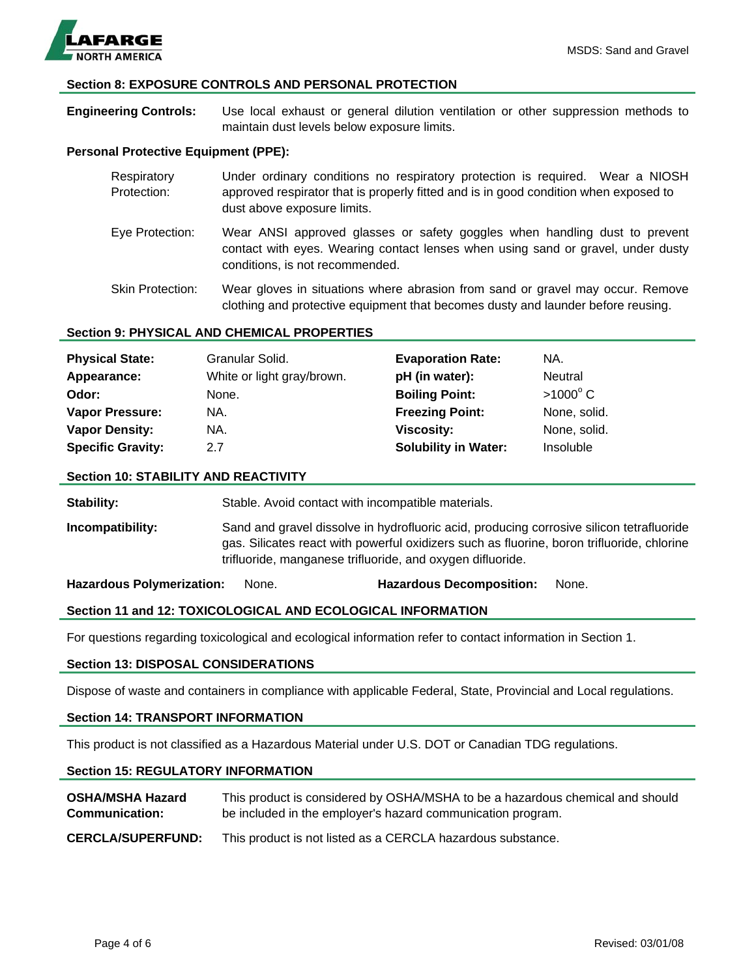

#### **Section 8: EXPOSURE CONTROLS AND PERSONAL PROTECTION**

**Engineering Controls:** Use local exhaust or general dilution ventilation or other suppression methods to maintain dust levels below exposure limits.

#### **Personal Protective Equipment (PPE):**

| Respiratory<br>Protection: | Under ordinary conditions no respiratory protection is required. Wear a NIOSH<br>approved respirator that is properly fitted and is in good condition when exposed to<br>dust above exposure limits. |
|----------------------------|------------------------------------------------------------------------------------------------------------------------------------------------------------------------------------------------------|
| Eye Protection:            | Wear ANSI approved glasses or safety goggles when handling dust to prevent<br>contact with eyes. Wearing contact lenses when using sand or gravel, under dusty<br>conditions, is not recommended.    |
| <b>Skin Protection:</b>    | Wear gloves in situations where abrasion from sand or gravel may occur. Remove<br>clothing and protective equipment that becomes dusty and launder before reusing.                                   |

#### **Section 9: PHYSICAL AND CHEMICAL PROPERTIES**

| <b>Physical State:</b>   | Granular Solid.            | <b>Evaporation Rate:</b>    | NA.               |
|--------------------------|----------------------------|-----------------------------|-------------------|
| Appearance:              | White or light gray/brown. | pH (in water):              | Neutral           |
| Odor:                    | None.                      | <b>Boiling Point:</b>       | $>1000^{\circ}$ C |
| <b>Vapor Pressure:</b>   | NA.                        | <b>Freezing Point:</b>      | None, solid.      |
| <b>Vapor Density:</b>    | NA.                        | Viscosity:                  | None, solid.      |
| <b>Specific Gravity:</b> | 2.7                        | <b>Solubility in Water:</b> | Insoluble         |

#### **Section 10: STABILITY AND REACTIVITY**

**Stability:** Stable. Avoid contact with incompatible materials.

**Incompatibility:** Sand and gravel dissolve in hydrofluoric acid, producing corrosive silicon tetrafluoride gas. Silicates react with powerful oxidizers such as fluorine, boron trifluoride, chlorine trifluoride, manganese trifluoride, and oxygen difluoride.

**Hazardous Polymerization:** None. **Hazardous Decomposition:** None.

#### **Section 11 and 12: TOXICOLOGICAL AND ECOLOGICAL INFORMATION**

For questions regarding toxicological and ecological information refer to contact information in Section 1.

### **Section 13: DISPOSAL CONSIDERATIONS**

Dispose of waste and containers in compliance with applicable Federal, State, Provincial and Local regulations.

#### **Section 14: TRANSPORT INFORMATION**

This product is not classified as a Hazardous Material under U.S. DOT or Canadian TDG regulations.

#### **Section 15: REGULATORY INFORMATION**

| <b>OSHA/MSHA Hazard</b>  | This product is considered by OSHA/MSHA to be a hazardous chemical and should |
|--------------------------|-------------------------------------------------------------------------------|
| <b>Communication:</b>    | be included in the employer's hazard communication program.                   |
| <b>CERCLA/SUPERFUND:</b> | This product is not listed as a CERCLA hazardous substance.                   |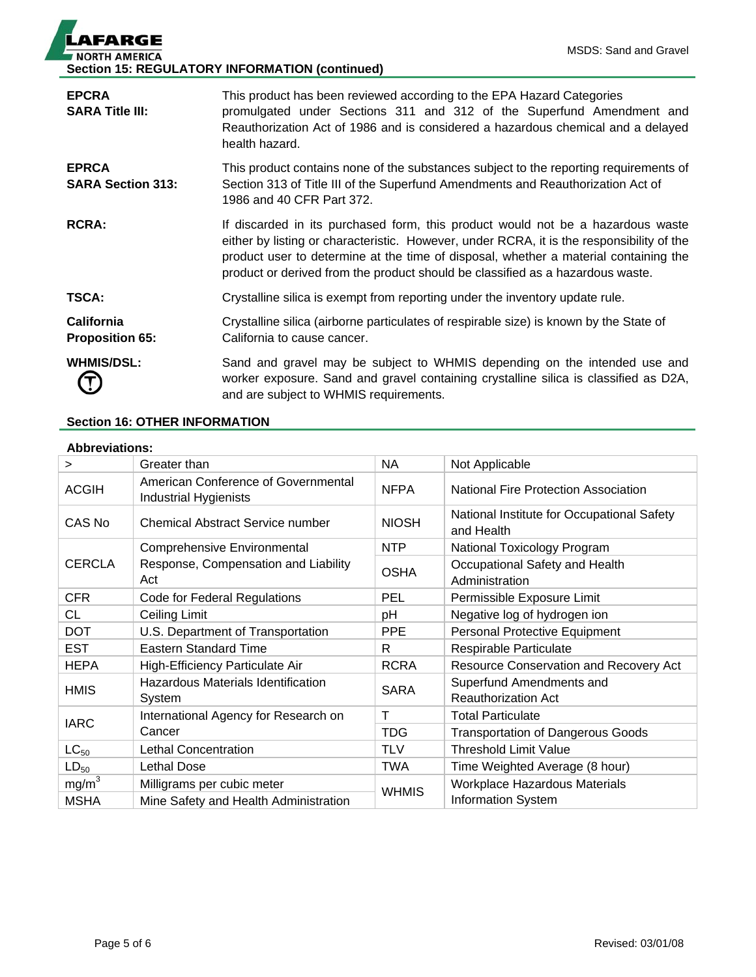| <b>LAFARGE</b>                                        |  |
|-------------------------------------------------------|--|
| <b>NORTH AMERICA</b>                                  |  |
| <b>Section 15: REGULATORY INFORMATION (continued)</b> |  |

| <b>EPCRA</b><br><b>SARA Title III:</b>      | This product has been reviewed according to the EPA Hazard Categories<br>promulgated under Sections 311 and 312 of the Superfund Amendment and<br>Reauthorization Act of 1986 and is considered a hazardous chemical and a delayed<br>health hazard.                                                                                                   |
|---------------------------------------------|--------------------------------------------------------------------------------------------------------------------------------------------------------------------------------------------------------------------------------------------------------------------------------------------------------------------------------------------------------|
| <b>EPRCA</b><br><b>SARA Section 313:</b>    | This product contains none of the substances subject to the reporting requirements of<br>Section 313 of Title III of the Superfund Amendments and Reauthorization Act of<br>1986 and 40 CFR Part 372.                                                                                                                                                  |
| <b>RCRA:</b>                                | If discarded in its purchased form, this product would not be a hazardous waste<br>either by listing or characteristic. However, under RCRA, it is the responsibility of the<br>product user to determine at the time of disposal, whether a material containing the<br>product or derived from the product should be classified as a hazardous waste. |
| <b>TSCA:</b>                                | Crystalline silica is exempt from reporting under the inventory update rule.                                                                                                                                                                                                                                                                           |
| <b>California</b><br><b>Proposition 65:</b> | Crystalline silica (airborne particulates of respirable size) is known by the State of<br>California to cause cancer.                                                                                                                                                                                                                                  |
| <b>WHMIS/DSL:</b>                           | Sand and gravel may be subject to WHMIS depending on the intended use and<br>worker exposure. Sand and gravel containing crystalline silica is classified as D2A,<br>and are subject to WHMIS requirements.                                                                                                                                            |

## **Section 16: OTHER INFORMATION**

## **Abbreviations:**

| >                 | Greater than                                                        | <b>NA</b>    | Not Applicable                                           |
|-------------------|---------------------------------------------------------------------|--------------|----------------------------------------------------------|
| <b>ACGIH</b>      | American Conference of Governmental<br><b>Industrial Hygienists</b> | <b>NFPA</b>  | <b>National Fire Protection Association</b>              |
| CAS No            | <b>Chemical Abstract Service number</b>                             | <b>NIOSH</b> | National Institute for Occupational Safety<br>and Health |
|                   | <b>Comprehensive Environmental</b>                                  | <b>NTP</b>   | National Toxicology Program                              |
| <b>CERCLA</b>     | Response, Compensation and Liability<br>Act                         | <b>OSHA</b>  | Occupational Safety and Health<br>Administration         |
| <b>CFR</b>        | Code for Federal Regulations                                        | <b>PEL</b>   | Permissible Exposure Limit                               |
| CL                | Ceiling Limit                                                       | pH           | Negative log of hydrogen ion                             |
| <b>DOT</b>        | U.S. Department of Transportation                                   | <b>PPE</b>   | Personal Protective Equipment                            |
| <b>EST</b>        | <b>Eastern Standard Time</b>                                        | R.           | Respirable Particulate                                   |
| <b>HEPA</b>       | High-Efficiency Particulate Air                                     | <b>RCRA</b>  | Resource Conservation and Recovery Act                   |
| <b>HMIS</b>       | Hazardous Materials Identification<br>System                        | <b>SARA</b>  | Superfund Amendments and<br><b>Reauthorization Act</b>   |
| <b>IARC</b>       | International Agency for Research on                                | T            | <b>Total Particulate</b>                                 |
|                   | Cancer                                                              | <b>TDG</b>   | <b>Transportation of Dangerous Goods</b>                 |
| $LC_{50}$         | <b>Lethal Concentration</b>                                         | <b>TLV</b>   | <b>Threshold Limit Value</b>                             |
| $LD_{50}$         | Lethal Dose                                                         | <b>TWA</b>   | Time Weighted Average (8 hour)                           |
| mg/m <sup>3</sup> | Milligrams per cubic meter                                          | <b>WHMIS</b> | Workplace Hazardous Materials                            |
| <b>MSHA</b>       | Mine Safety and Health Administration                               |              | Information System                                       |